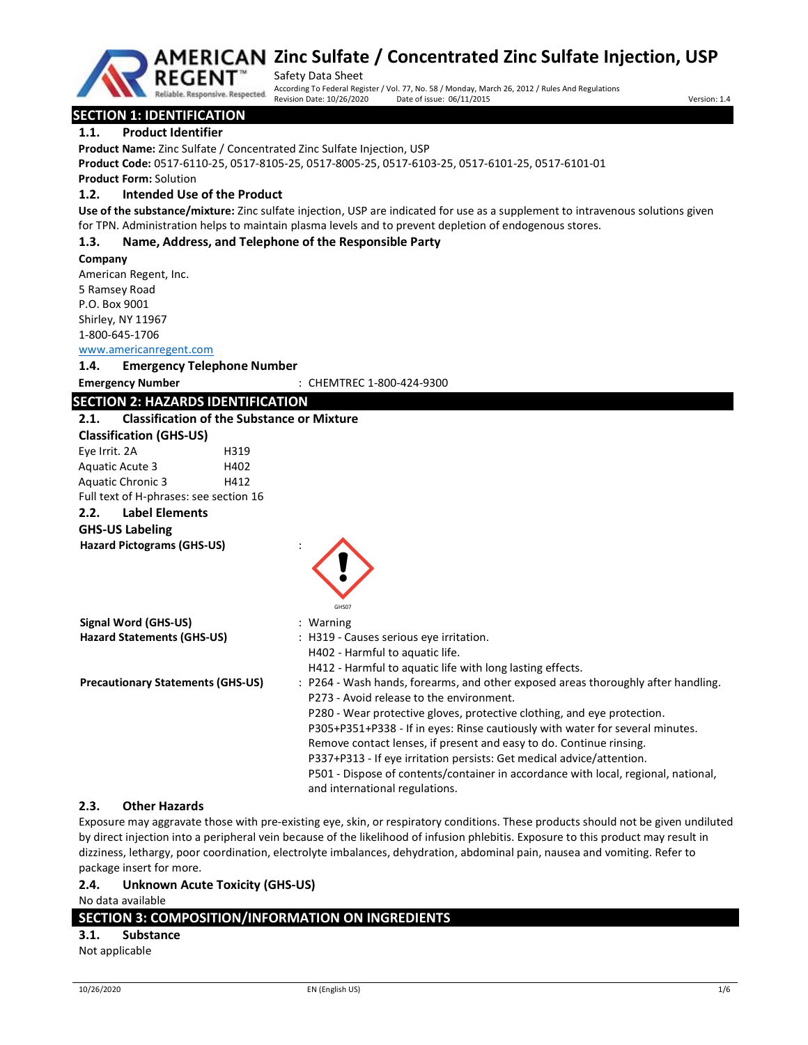

Safety Data Sheet According To Federal Register / Vol. 77, No. 58 / Monday, March 26, 2012 / Rules And Regulations Revision Date: 10/26/2020 Date of issue: 06/11/2015

# SECTION 1: IDENTIFICATION

# 1.1. Product Identifier

Product Name: Zinc Sulfate / Concentrated Zinc Sulfate Injection, USP

Product Code: 0517-6110-25, 0517-8105-25, 0517-8005-25, 0517-6103-25, 0517-6101-25, 0517-6101-01

Product Form: Solution

### 1.2. Intended Use of the Product

Reliable, Responsive, Respected.

Use of the substance/mixture: Zinc sulfate injection, USP are indicated for use as a supplement to intravenous solutions given for TPN. Administration helps to maintain plasma levels and to prevent depletion of endogenous stores.

# 1.3. Name, Address, and Telephone of the Responsible Party

#### Company

American Regent, Inc. 5 Ramsey Road P.O. Box 9001 Shirley, NY 11967 1-800-645-1706

#### www.americanregent.com

1.4. Emergency Telephone Number

Emergency Number : CHEMTREC 1-800-424-9300

# SECTION 2: HAZARDS IDENTIFICATION

# 2.1. Classification of the Substance or Mixture

| <b>Classification (GHS-US)</b> |      |
|--------------------------------|------|
| Eye Irrit. 2A                  | H319 |
| Aquatic Acute 3                | H402 |
| Aquatic Chronic 3              | H412 |
|                                |      |

Full text of H-phrases: see section 16

### 2.2. Label Elements

#### GHS-US Labeling

Hazard Pictograms (GHS-US) :

|                                          | GHS07                                                                              |
|------------------------------------------|------------------------------------------------------------------------------------|
| Signal Word (GHS-US)                     | $:$ Warning                                                                        |
| <b>Hazard Statements (GHS-US)</b>        | : H319 - Causes serious eye irritation.                                            |
|                                          | H402 - Harmful to aquatic life.                                                    |
|                                          | H412 - Harmful to aquatic life with long lasting effects.                          |
| <b>Precautionary Statements (GHS-US)</b> | : P264 - Wash hands, forearms, and other exposed areas thoroughly after handling.  |
|                                          | P273 - Avoid release to the environment.                                           |
|                                          | P280 - Wear protective gloves, protective clothing, and eye protection.            |
|                                          | P305+P351+P338 - If in eyes: Rinse cautiously with water for several minutes.      |
|                                          | Remove contact lenses, if present and easy to do. Continue rinsing.                |
|                                          | P337+P313 - If eye irritation persists: Get medical advice/attention.              |
|                                          | P501 - Dispose of contents/container in accordance with local, regional, national, |
|                                          | and international regulations.                                                     |

### 2.3. Other Hazards

Exposure may aggravate those with pre-existing eye, skin, or respiratory conditions. These products should not be given undiluted by direct injection into a peripheral vein because of the likelihood of infusion phlebitis. Exposure to this product may result in dizziness, lethargy, poor coordination, electrolyte imbalances, dehydration, abdominal pain, nausea and vomiting. Refer to package insert for more.

### 2.4. Unknown Acute Toxicity (GHS-US)

No data available

# SECTION 3: COMPOSITION/INFORMATION ON INGREDIENTS

# 3.1. Substance

Not applicable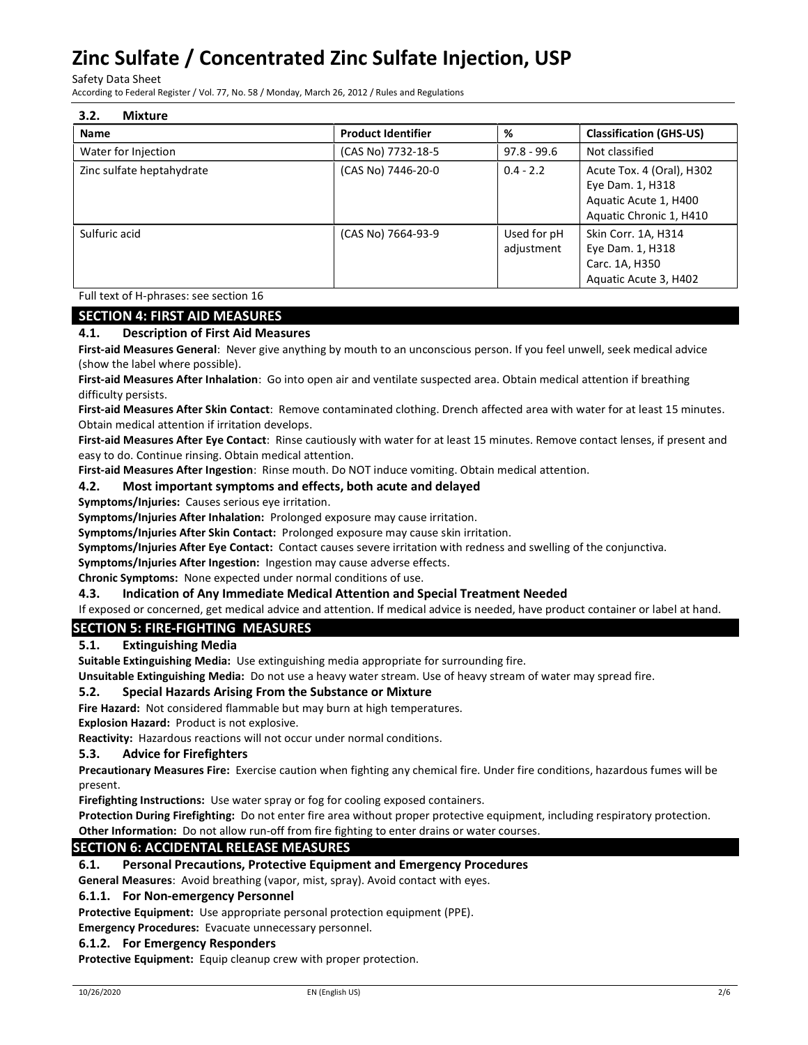Safety Data Sheet

According to Federal Register / Vol. 77, No. 58 / Monday, March 26, 2012 / Rules and Regulations

| 3.2.<br><b>Mixture</b>    |                           |                           |                                                                                                   |
|---------------------------|---------------------------|---------------------------|---------------------------------------------------------------------------------------------------|
| <b>Name</b>               | <b>Product Identifier</b> | %                         | <b>Classification (GHS-US)</b>                                                                    |
| Water for Injection       | (CAS No) 7732-18-5        | $97.8 - 99.6$             | Not classified                                                                                    |
| Zinc sulfate heptahydrate | (CAS No) 7446-20-0        | $0.4 - 2.2$               | Acute Tox. 4 (Oral), H302<br>Eye Dam. 1, H318<br>Aquatic Acute 1, H400<br>Aquatic Chronic 1, H410 |
| Sulfuric acid             | (CAS No) 7664-93-9        | Used for pH<br>adjustment | Skin Corr. 1A, H314<br>Eye Dam. 1, H318<br>Carc. 1A, H350<br>Aquatic Acute 3, H402                |

Full text of H-phrases: see section 16

# SECTION 4: FIRST AID MEASURES

# 4.1. Description of First Aid Measures

First-aid Measures General: Never give anything by mouth to an unconscious person. If you feel unwell, seek medical advice (show the label where possible).

First-aid Measures After Inhalation: Go into open air and ventilate suspected area. Obtain medical attention if breathing difficulty persists.

First-aid Measures After Skin Contact: Remove contaminated clothing. Drench affected area with water for at least 15 minutes. Obtain medical attention if irritation develops.

First-aid Measures After Eye Contact: Rinse cautiously with water for at least 15 minutes. Remove contact lenses, if present and easy to do. Continue rinsing. Obtain medical attention.

First-aid Measures After Ingestion: Rinse mouth. Do NOT induce vomiting. Obtain medical attention.

# 4.2. Most important symptoms and effects, both acute and delayed

Symptoms/Injuries: Causes serious eye irritation.

Symptoms/Injuries After Inhalation: Prolonged exposure may cause irritation.

Symptoms/Injuries After Skin Contact: Prolonged exposure may cause skin irritation.

Symptoms/Injuries After Eye Contact: Contact causes severe irritation with redness and swelling of the conjunctiva.

Symptoms/Injuries After Ingestion: Ingestion may cause adverse effects.

Chronic Symptoms: None expected under normal conditions of use.

### 4.3. Indication of Any Immediate Medical Attention and Special Treatment Needed

If exposed or concerned, get medical advice and attention. If medical advice is needed, have product container or label at hand.

# SECTION 5: FIRE-FIGHTING MEASURES

### 5.1. Extinguishing Media

Suitable Extinguishing Media: Use extinguishing media appropriate for surrounding fire.

Unsuitable Extinguishing Media: Do not use a heavy water stream. Use of heavy stream of water may spread fire.

# 5.2. Special Hazards Arising From the Substance or Mixture

Fire Hazard: Not considered flammable but may burn at high temperatures.

Explosion Hazard: Product is not explosive.

Reactivity: Hazardous reactions will not occur under normal conditions.

### 5.3. Advice for Firefighters

Precautionary Measures Fire: Exercise caution when fighting any chemical fire. Under fire conditions, hazardous fumes will be present.

Firefighting Instructions: Use water spray or fog for cooling exposed containers.

Protection During Firefighting: Do not enter fire area without proper protective equipment, including respiratory protection.

Other Information: Do not allow run-off from fire fighting to enter drains or water courses.

### SECTION 6: ACCIDENTAL RELEASE MEASURES

# 6.1. Personal Precautions, Protective Equipment and Emergency Procedures

General Measures: Avoid breathing (vapor, mist, spray). Avoid contact with eyes.

### 6.1.1. For Non-emergency Personnel

Protective Equipment: Use appropriate personal protection equipment (PPE).

Emergency Procedures: Evacuate unnecessary personnel.

### 6.1.2. For Emergency Responders

Protective Equipment: Equip cleanup crew with proper protection.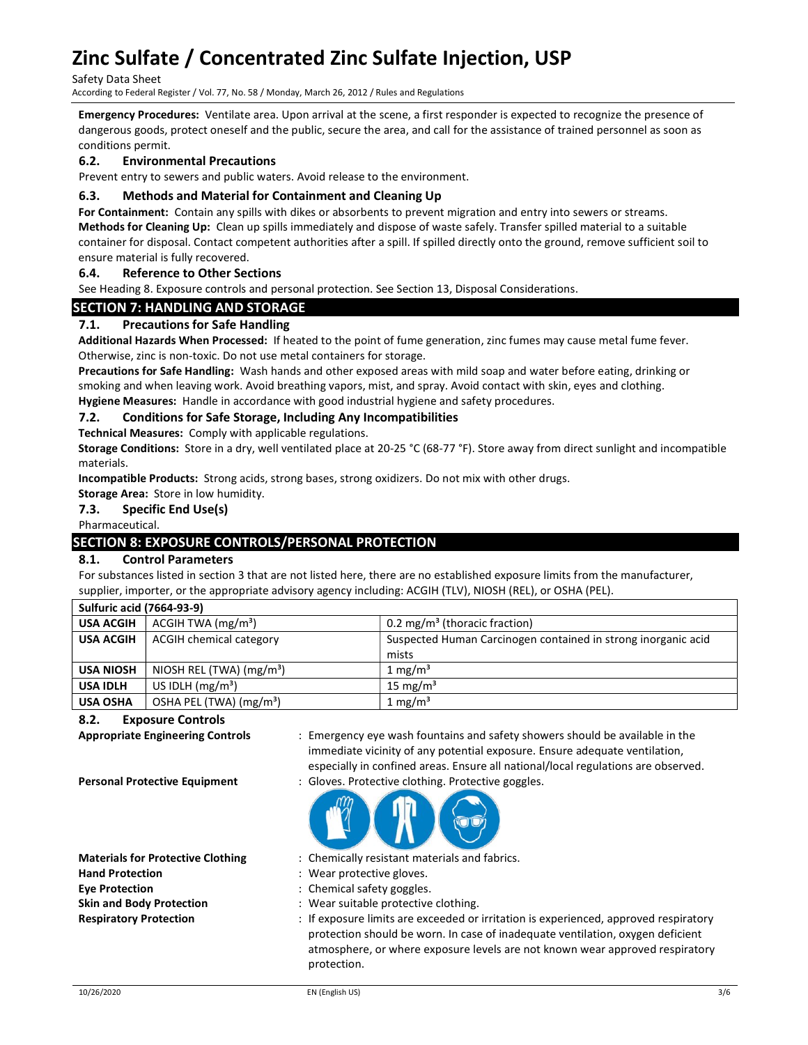Safety Data Sheet

According to Federal Register / Vol. 77, No. 58 / Monday, March 26, 2012 / Rules and Regulations

Emergency Procedures: Ventilate area. Upon arrival at the scene, a first responder is expected to recognize the presence of dangerous goods, protect oneself and the public, secure the area, and call for the assistance of trained personnel as soon as conditions permit.

# 6.2. Environmental Precautions

Prevent entry to sewers and public waters. Avoid release to the environment.

## 6.3. Methods and Material for Containment and Cleaning Up

For Containment: Contain any spills with dikes or absorbents to prevent migration and entry into sewers or streams. Methods for Cleaning Up: Clean up spills immediately and dispose of waste safely. Transfer spilled material to a suitable container for disposal. Contact competent authorities after a spill. If spilled directly onto the ground, remove sufficient soil to ensure material is fully recovered.

# 6.4. Reference to Other Sections

See Heading 8. Exposure controls and personal protection. See Section 13, Disposal Considerations.

# SECTION 7: HANDLING AND STORAGE

### 7.1. Precautions for Safe Handling

Additional Hazards When Processed: If heated to the point of fume generation, zinc fumes may cause metal fume fever. Otherwise, zinc is non-toxic. Do not use metal containers for storage.

Precautions for Safe Handling: Wash hands and other exposed areas with mild soap and water before eating, drinking or smoking and when leaving work. Avoid breathing vapors, mist, and spray. Avoid contact with skin, eyes and clothing.

Hygiene Measures: Handle in accordance with good industrial hygiene and safety procedures.

#### 7.2. Conditions for Safe Storage, Including Any Incompatibilities

Technical Measures: Comply with applicable regulations.

Storage Conditions: Store in a dry, well ventilated place at 20-25 °C (68-77 °F). Store away from direct sunlight and incompatible materials.

Incompatible Products: Strong acids, strong bases, strong oxidizers. Do not mix with other drugs.

Storage Area: Store in low humidity.

### 7.3. Specific End Use(s)

Pharmaceutical.

# SECTION 8: EXPOSURE CONTROLS/PERSONAL PROTECTION

### 8.1. Control Parameters

For substances listed in section 3 that are not listed here, there are no established exposure limits from the manufacturer, supplier, importer, or the appropriate advisory agency including: ACGIH (TLV), NIOSH (REL), or OSHA (PEL).

| <b>Sulfuric acid (7664-93-9)</b> |                                      |                                                               |
|----------------------------------|--------------------------------------|---------------------------------------------------------------|
| <b>USA ACGIH</b>                 | ACGIH TWA (mg/m <sup>3</sup> )       | 0.2 mg/m <sup>3</sup> (thoracic fraction)                     |
| <b>USA ACGIH</b>                 | ACGIH chemical category              | Suspected Human Carcinogen contained in strong inorganic acid |
|                                  |                                      | mists                                                         |
| <b>USA NIOSH</b>                 | NIOSH REL (TWA) (mg/m <sup>3</sup> ) | 1 mg/m <sup>3</sup>                                           |
| <b>USA IDLH</b>                  | US IDLH $(mg/m3)$                    | 15 mg/m <sup>3</sup>                                          |
| <b>USA OSHA</b>                  | OSHA PEL (TWA) (mg/m <sup>3</sup> )  | 1 mg/m <sup>3</sup>                                           |

## 8.2. Exposure Controls

Hand Protection **Example 20** Final Realty Rear protective gloves. Eve Protection **Exercise Eve Protection** : Chemical safety goggles.

- Appropriate Engineering Controls : Emergency eye wash fountains and safety showers should be available in the immediate vicinity of any potential exposure. Ensure adequate ventilation, especially in confined areas. Ensure all national/local regulations are observed.
- Personal Protective Equipment : Gloves. Protective clothing. Protective goggles.



- Materials for Protective Clothing : Chemically resistant materials and fabrics.
	-
	-
- Skin and Body Protection : Wear suitable protective clothing.
- Respiratory Protection : If exposure limits are exceeded or irritation is experienced, approved respiratory protection should be worn. In case of inadequate ventilation, oxygen deficient atmosphere, or where exposure levels are not known wear approved respiratory protection.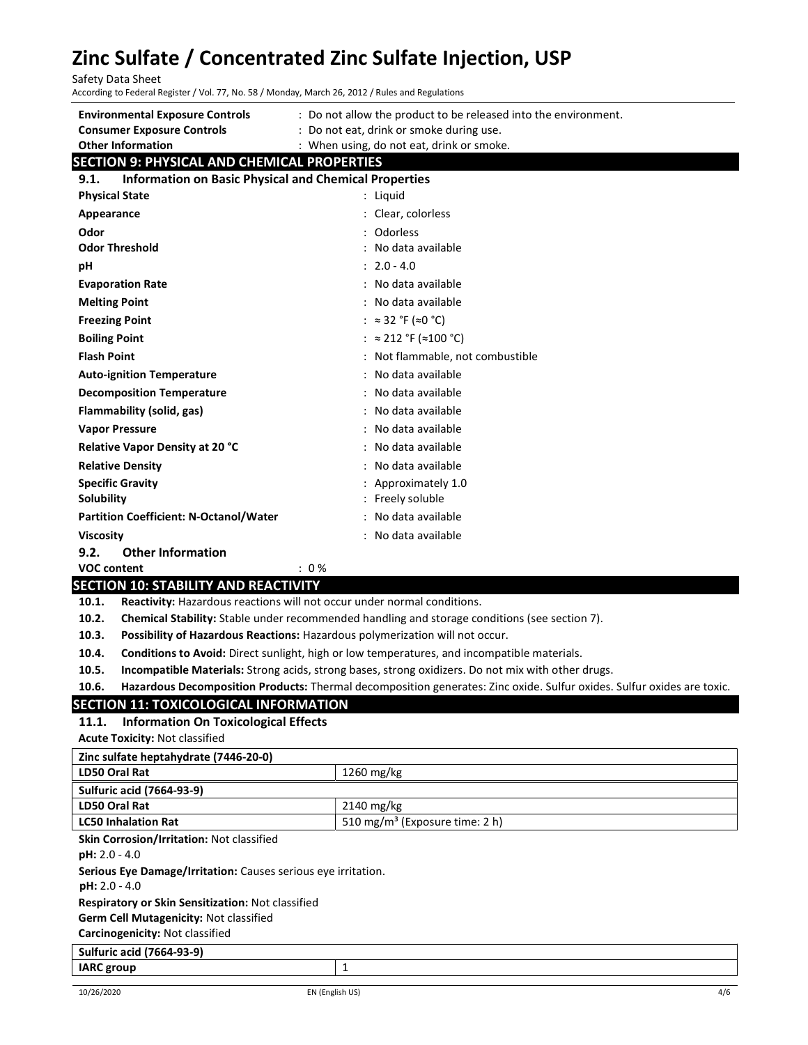Safety Data Sheet

| According to Federal Register / Vol. 77, No. 58 / Monday, March 26, 2012 / Rules and Regulations        |                                                                                                                                                          |
|---------------------------------------------------------------------------------------------------------|----------------------------------------------------------------------------------------------------------------------------------------------------------|
| <b>Environmental Exposure Controls</b><br><b>Consumer Exposure Controls</b><br><b>Other Information</b> | : Do not allow the product to be released into the environment.<br>: Do not eat, drink or smoke during use.<br>: When using, do not eat, drink or smoke. |
| <b>SECTION 9: PHYSICAL AND CHEMICAL PROPERTIES</b>                                                      |                                                                                                                                                          |
| <b>Information on Basic Physical and Chemical Properties</b><br>9.1.                                    |                                                                                                                                                          |
| <b>Physical State</b>                                                                                   | : Liquid                                                                                                                                                 |
| Appearance                                                                                              | : Clear, colorless                                                                                                                                       |
| Odor                                                                                                    | Odorless                                                                                                                                                 |
| <b>Odor Threshold</b>                                                                                   | No data available                                                                                                                                        |
| рH                                                                                                      | $: 2.0 - 4.0$                                                                                                                                            |
| <b>Evaporation Rate</b>                                                                                 | : No data available                                                                                                                                      |
| <b>Melting Point</b>                                                                                    | : No data available                                                                                                                                      |
| <b>Freezing Point</b>                                                                                   | : $\approx 32 \text{ }^{\circ} \text{F}$ ( $\approx 0 \text{ }^{\circ} \text{C}$ )                                                                       |
| <b>Boiling Point</b>                                                                                    | : $\approx$ 212 °F ( $\approx$ 100 °C)                                                                                                                   |
| <b>Flash Point</b>                                                                                      | : Not flammable, not combustible                                                                                                                         |
| <b>Auto-ignition Temperature</b>                                                                        | : No data available                                                                                                                                      |
| <b>Decomposition Temperature</b>                                                                        | : No data available                                                                                                                                      |
| Flammability (solid, gas)                                                                               | : No data available                                                                                                                                      |
| <b>Vapor Pressure</b>                                                                                   | : No data available                                                                                                                                      |
| Relative Vapor Density at 20 °C                                                                         | : No data available                                                                                                                                      |
| <b>Relative Density</b>                                                                                 | : No data available                                                                                                                                      |
| <b>Specific Gravity</b>                                                                                 | Approximately 1.0                                                                                                                                        |
| Solubility                                                                                              | : Freely soluble                                                                                                                                         |
| <b>Partition Coefficient: N-Octanol/Water</b>                                                           | : No data available                                                                                                                                      |
| <b>Viscosity</b>                                                                                        | : No data available                                                                                                                                      |
| <b>Other Information</b><br>9.2.                                                                        |                                                                                                                                                          |
| <b>VOC content</b><br>CCT                                                                               | : 0%<br>$\mathbf{m}$                                                                                                                                     |

# SECTION 10: STABILITY AND REACTIVITY

10.1. Reactivity: Hazardous reactions will not occur under normal conditions.

10.2. Chemical Stability: Stable under recommended handling and storage conditions (see section 7).

10.3. Possibility of Hazardous Reactions: Hazardous polymerization will not occur.

10.4. Conditions to Avoid: Direct sunlight, high or low temperatures, and incompatible materials.

10.5. Incompatible Materials: Strong acids, strong bases, strong oxidizers. Do not mix with other drugs.

10.6. Hazardous Decomposition Products: Thermal decomposition generates: Zinc oxide. Sulfur oxides. Sulfur oxides are toxic.

## SECTION 11: TOXICOLOGICAL INFORMATION

IARC group 1 and 1 and 1 and 1 and 1 and 1 and 1 and 1 and 1 and 1 and 1 and 1 and 1 and 1 and 1 and 1 and 1 and 1 and 1 and 1 and 1 and 1 and 1 and 1 and 1 and 1 and 1 and 1 and 1 and 1 and 1 and 1 and 1 and 1 and 1 and 1

#### 11.1. Information On Toxicological Effects

Acute Toxicity: Not classified

| Zinc sulfate heptahydrate (7446-20-0)                         |                                            |
|---------------------------------------------------------------|--------------------------------------------|
| LD50 Oral Rat                                                 | $1260$ mg/kg                               |
| <b>Sulfuric acid (7664-93-9)</b>                              |                                            |
| LD50 Oral Rat                                                 | $2140$ mg/kg                               |
| <b>LC50 Inhalation Rat</b>                                    | 510 mg/m <sup>3</sup> (Exposure time: 2 h) |
| Skin Corrosion/Irritation: Not classified                     |                                            |
| $pH: 2.0 - 4.0$                                               |                                            |
| Serious Eye Damage/Irritation: Causes serious eye irritation. |                                            |
| $pH: 2.0 - 4.0$                                               |                                            |
| <b>Respiratory or Skin Sensitization: Not classified</b>      |                                            |
| <b>Germ Cell Mutagenicity: Not classified</b>                 |                                            |
| Carcinogenicity: Not classified                               |                                            |
| <b>Sulfuric acid (7664-93-9)</b>                              |                                            |

Sulfuric acid (7664-93-9)

10/26/2020 EN (English US) 4/6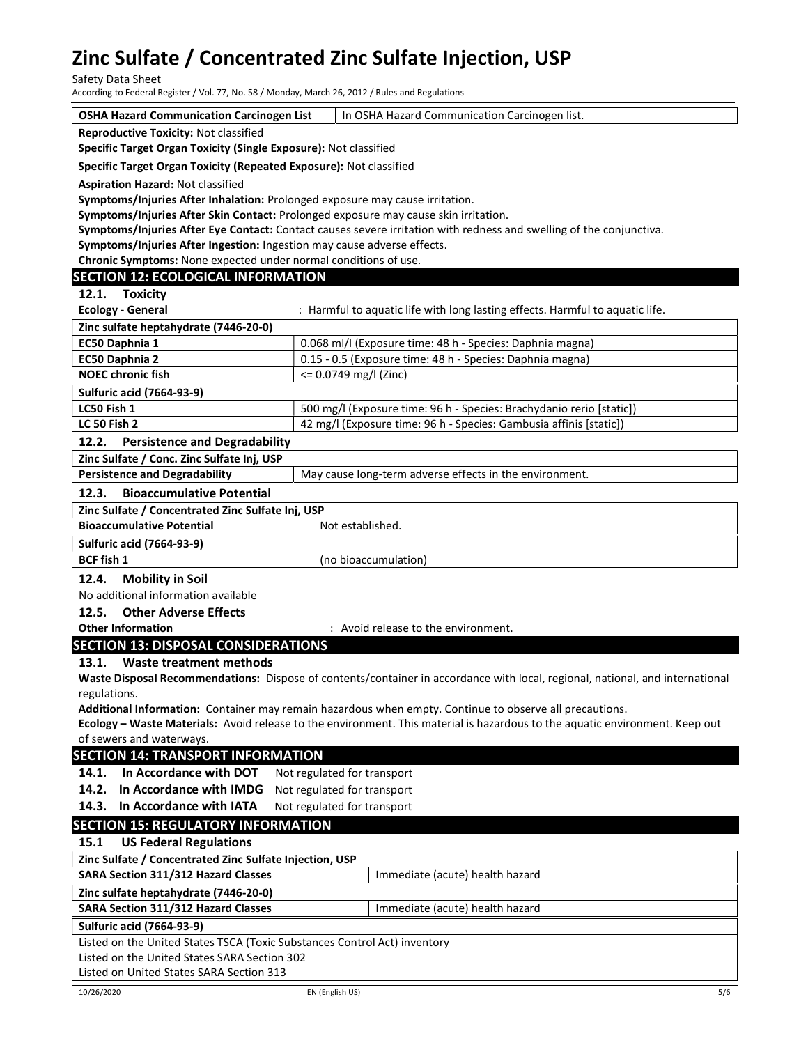Safety Data Sheet

According to Federal Register / Vol. 77, No. 58 / Monday, March 26, 2012 / Rules and Regulations

OSHA Hazard Communication Carcinogen List | In OSHA Hazard Communication Carcinogen list.

Reproductive Toxicity: Not classified

Specific Target Organ Toxicity (Single Exposure): Not classified

Specific Target Organ Toxicity (Repeated Exposure): Not classified

Aspiration Hazard: Not classified

Symptoms/Injuries After Inhalation: Prolonged exposure may cause irritation.

Symptoms/Injuries After Skin Contact: Prolonged exposure may cause skin irritation.

Symptoms/Injuries After Eye Contact: Contact causes severe irritation with redness and swelling of the conjunctiva.

Symptoms/Injuries After Ingestion: Ingestion may cause adverse effects.

Chronic Symptoms: None expected under normal conditions of use.

# SECTION 12: ECOLOGICAL INFORMATION

12.1. Toxicity

| <b>Ecology - General</b>              | : Harmful to aquatic life with long lasting effects. Harmful to aquatic life. |
|---------------------------------------|-------------------------------------------------------------------------------|
| Zinc sulfate heptahydrate (7446-20-0) |                                                                               |
| <b>EC50 Daphnia 1</b>                 | 0.068 ml/l (Exposure time: 48 h - Species: Daphnia magna)                     |
| <b>EC50 Daphnia 2</b>                 | 0.15 - 0.5 (Exposure time: 48 h - Species: Daphnia magna)                     |
| <b>NOEC chronic fish</b>              | $\leq$ 0.0749 mg/l (Zinc)                                                     |
| <b>Sulfuric acid (7664-93-9)</b>      |                                                                               |
| LC50 Fish 1                           | 500 mg/l (Exposure time: 96 h - Species: Brachydanio rerio [static])          |
| <b>LC 50 Fish 2</b>                   | 42 mg/l (Exposure time: 96 h - Species: Gambusia affinis [static])            |

#### 12.2. Persistence and Degradability

Zinc Sulfate / Conc. Zinc Sulfate Inj, USP

|       | <b>Persistence and Degradability</b> | <sup>1</sup> May cause long-term adverse effects in the environment. |
|-------|--------------------------------------|----------------------------------------------------------------------|
| 12.3. | <b>Bioaccumulative Potential</b>     |                                                                      |

# Zinc Sulfate / Concentrated Zinc Sulfate Inj, USP Bioaccumulative Potential Not established. Sulfuric acid (7664-93-9) BCF fish 1 (no bioaccumulation)

### 12.4. Mobility in Soil

No additional information available

12.5. Other Adverse Effects

### Other Information **Community Community** : Avoid release to the environment.

### SECTION 13: DISPOSAL CONSIDERATIONS 13.1. Waste treatment methods

Waste Disposal Recommendations: Dispose of contents/container in accordance with local, regional, national, and international regulations.

Additional Information: Container may remain hazardous when empty. Continue to observe all precautions.

Ecology – Waste Materials: Avoid release to the environment. This material is hazardous to the aquatic environment. Keep out of sewers and waterways.

# SECTION 14: TRANSPORT INFORMATION

14.1. In Accordance with DOT Not regulated for transport

14.2. In Accordance with IMDG Not regulated for transport

14.3. In Accordance with IATA Not regulated for transport

# SECTION 15: REGULATORY INFORMATION

### 15.1 US Federal Regulations

Zinc Sulfate / Concentrated Zinc Sulfate Injection, USP

SARA Section 311/312 Hazard Classes | Immediate (acute) health hazard

# Zinc sulfate heptahydrate (7446-20-0)

SARA Section 311/312 Hazard Classes Manual Mumediate (acute) health hazard

# Sulfuric acid (7664-93-9)

Listed on the United States TSCA (Toxic Substances Control Act) inventory

Listed on the United States SARA Section 302

Listed on United States SARA Section 313